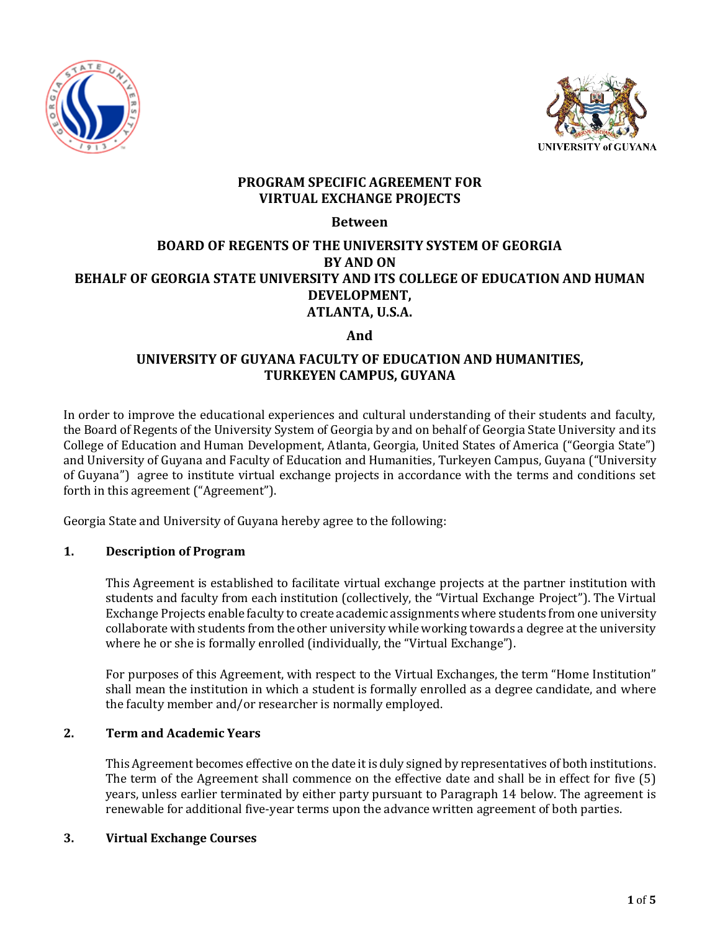



# **PROGRAM SPECIFIC AGREEMENT FOR VIRTUAL EXCHANGE PROJECTS**

## **Between**

# **BOARD OF REGENTS OF THE UNIVERSITY SYSTEM OF GEORGIA BY AND ON BEHALF OF GEORGIA STATE UNIVERSITY AND ITS COLLEGE OF EDUCATION AND HUMAN DEVELOPMENT, ATLANTA, U.S.A.**

# **And**

# **UNIVERSITY OF GUYANA FACULTY OF EDUCATION AND HUMANITIES, TURKEYEN CAMPUS, GUYANA**

In order to improve the educational experiences and cultural understanding of their students and faculty, the Board of Regents of the University System of Georgia by and on behalf of Georgia State University and its College of Education and Human Development, Atlanta, Georgia, United States of America ("Georgia State") and University of Guyana and Faculty of Education and Humanities, Turkeyen Campus, Guyana ("University of Guyana") agree to institute virtual exchange projects in accordance with the terms and conditions set forth in this agreement ("Agreement").

Georgia State and University of Guyana hereby agree to the following:

# **1. Description of Program**

This Agreement is established to facilitate virtual exchange projects at the partner institution with students and faculty from each institution (collectively, the "Virtual Exchange Project"). The Virtual Exchange Projects enable faculty to create academic assignments where students from one university collaborate with students from the other university while working towards a degree at the university where he or she is formally enrolled (individually, the "Virtual Exchange").

For purposes of this Agreement, with respect to the Virtual Exchanges, the term "Home Institution" shall mean the institution in which a student is formally enrolled as a degree candidate, and where the faculty member and/or researcher is normally employed.

# **2. Term and Academic Years**

This Agreement becomes effective on the date it is duly signed by representatives of both institutions. The term of the Agreement shall commence on the effective date and shall be in effect for five (5) years, unless earlier terminated by either party pursuant to Paragraph 14 below. The agreement is renewable for additional five-year terms upon the advance written agreement of both parties.

## **3. Virtual Exchange Courses**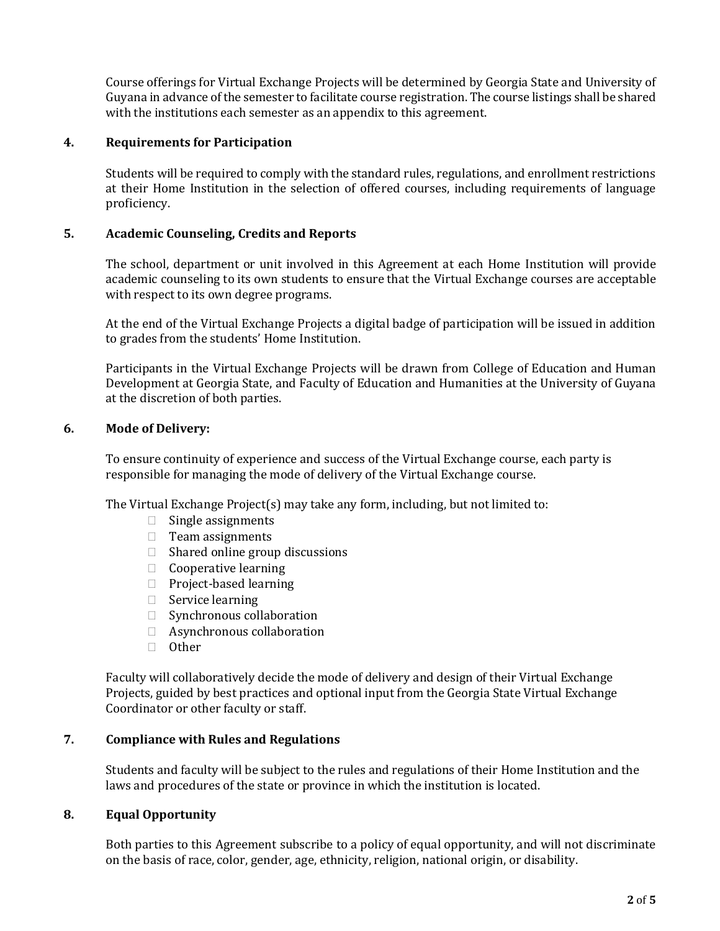Course offerings for Virtual Exchange Projects will be determined by Georgia State and University of Guyana in advance of the semester to facilitate course registration. The course listings shall be shared with the institutions each semester as an appendix to this agreement.

#### **4. Requirements for Participation**

Students will be required to comply with the standard rules, regulations, and enrollment restrictions at their Home Institution in the selection of offered courses, including requirements of language proficiency.

### **5. Academic Counseling, Credits and Reports**

The school, department or unit involved in this Agreement at each Home Institution will provide academic counseling to its own students to ensure that the Virtual Exchange courses are acceptable with respect to its own degree programs.

At the end of the Virtual Exchange Projects a digital badge of participation will be issued in addition to grades from the students' Home Institution.

Participants in the Virtual Exchange Projects will be drawn from College of Education and Human Development at Georgia State, and Faculty of Education and Humanities at the University of Guyana at the discretion of both parties.

### **6. Mode of Delivery:**

To ensure continuity of experience and success of the Virtual Exchange course, each party is responsible for managing the mode of delivery of the Virtual Exchange course.

The Virtual Exchange Project(s) may take any form, including, but not limited to:

- $\Box$  Single assignments
- $\Box$  Team assignments
- $\Box$  Shared online group discussions
- $\Box$  Cooperative learning
- $\Box$  Project-based learning
- $\Box$  Service learning
- □ Synchronous collaboration
- Asynchronous collaboration
- □ Other

Faculty will collaboratively decide the mode of delivery and design of their Virtual Exchange Projects, guided by best practices and optional input from the Georgia State Virtual Exchange Coordinator or other faculty or staff.

#### **7. Compliance with Rules and Regulations**

Students and faculty will be subject to the rules and regulations of their Home Institution and the laws and procedures of the state or province in which the institution is located.

#### **8. Equal Opportunity**

Both parties to this Agreement subscribe to a policy of equal opportunity, and will not discriminate on the basis of race, color, gender, age, ethnicity, religion, national origin, or disability.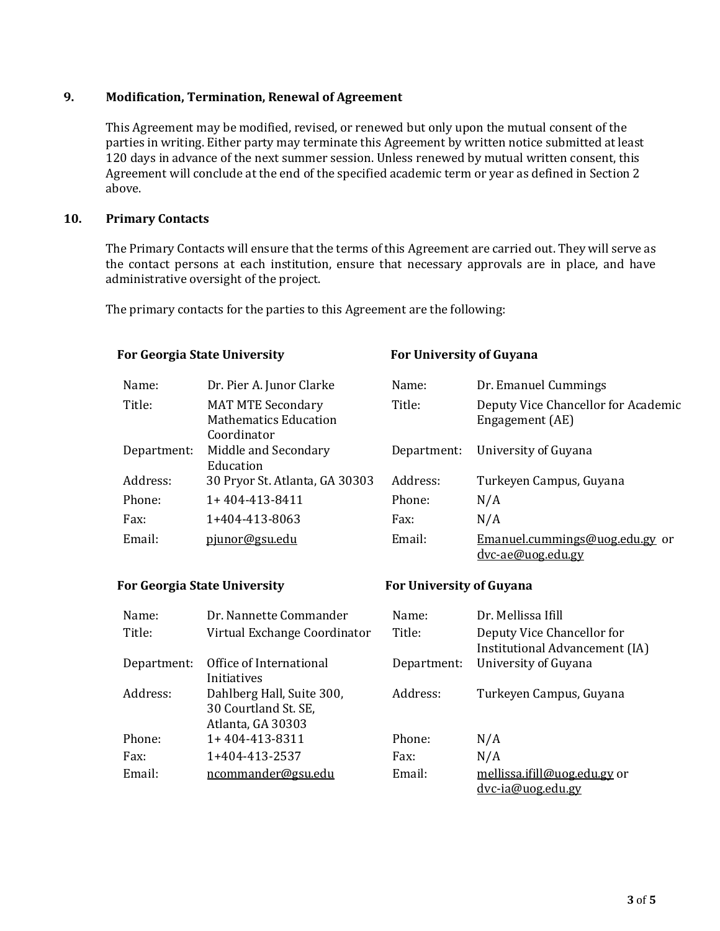## **9. Modification, Termination, Renewal of Agreement**

This Agreement may be modified, revised, or renewed but only upon the mutual consent of the parties in writing. Either party may terminate this Agreement by written notice submitted at least 120 days in advance of the next summer session. Unless renewed by mutual written consent, this Agreement will conclude at the end of the specified academic term or year as defined in Section 2 above.

#### **10. Primary Contacts**

The Primary Contacts will ensure that the terms of this Agreement are carried out. They will serve as the contact persons at each institution, ensure that necessary approvals are in place, and have administrative oversight of the project.

The primary contacts for the parties to this Agreement are the following:

| <b>For Georgia State University</b> |                                                                         | <b>For University of Guyana</b> |                                                        |
|-------------------------------------|-------------------------------------------------------------------------|---------------------------------|--------------------------------------------------------|
| Name:                               | Dr. Pier A. Junor Clarke                                                | Name:                           | Dr. Emanuel Cummings                                   |
| Title:                              | <b>MAT MTE Secondary</b><br><b>Mathematics Education</b><br>Coordinator | Title:                          | Deputy Vice Chancellor for Academic<br>Engagement (AE) |
| Department:                         | Middle and Secondary<br>Education                                       | Department:                     | University of Guyana                                   |
| Address:                            | 30 Pryor St. Atlanta, GA 30303                                          | Address:                        | Turkeyen Campus, Guyana                                |
| Phone:                              | 1+404-413-8411                                                          | Phone:                          | N/A                                                    |
| Fax:                                | 1+404-413-8063                                                          | Fax:                            | N/A                                                    |
| Email:                              | pjunor@gsu.edu                                                          | Email:                          | Emanuel.cummings@uog.edu.gy or<br>dvc-ae@uog.edu.gy    |

#### **For Georgia State University For University of Guyana** Name: Dr. Nannette Commander Name: Dr. Mellissa Ifill Title: Virtual Exchange Coordinator Title: Deputy Vice Chancellor for Institutional Advancement (IA) Department: Office of International Initiatives Department: University of Guyana Address: Dahlberg Hall, Suite 300, 30 Courtland St. SE, Atlanta, GA 30303 Address: Turkeyen Campus, Guyana Phone: 1+404-413-8311 Phone: N/A Fax: 1+404-413-2537 Fax: N/A

Email: [ncommander@gsu.edu](mailto:gtinkersachs@gsu.edu) Email: [mellissa.ifill@uog.edu.gy](mailto:mellissa.ifill@uog.edu.gy) or [dvc-ia@uog.edu.gy](mailto:dvc-ia@uog.edu.gy)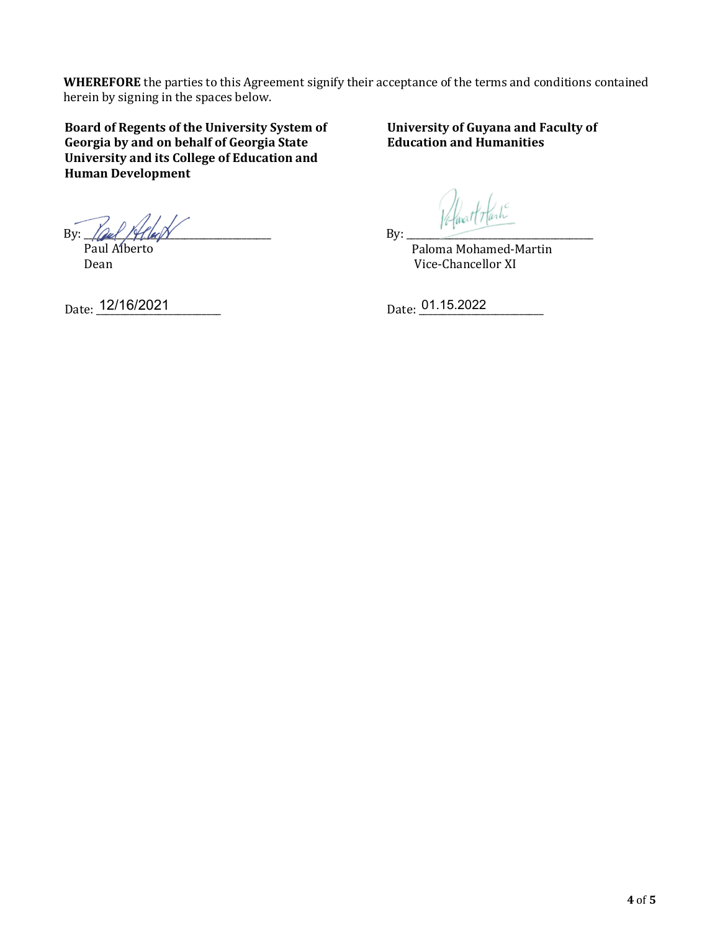**WHEREFORE** the parties to this Agreement signify their acceptance of the terms and conditions contained herein by signing in the spaces below.

**Board of Regents of the University System of Georgia by and on behalf of Georgia State University and its College of Education and Human Development**

**University of Guyana and Faculty of Education and Humanities**

By:  $\log f / \frac{f}{\log N}$ 

 Paul Alberto Dean

Date: 12/16/2021 Date: 01.15.2022

By: \_\_\_\_\_\_\_\_\_\_\_\_\_\_\_\_\_\_\_\_\_\_\_\_\_\_\_\_\_\_\_\_\_\_\_\_\_\_\_

 Paloma Mohamed-Martin Vice-Chancellor XI